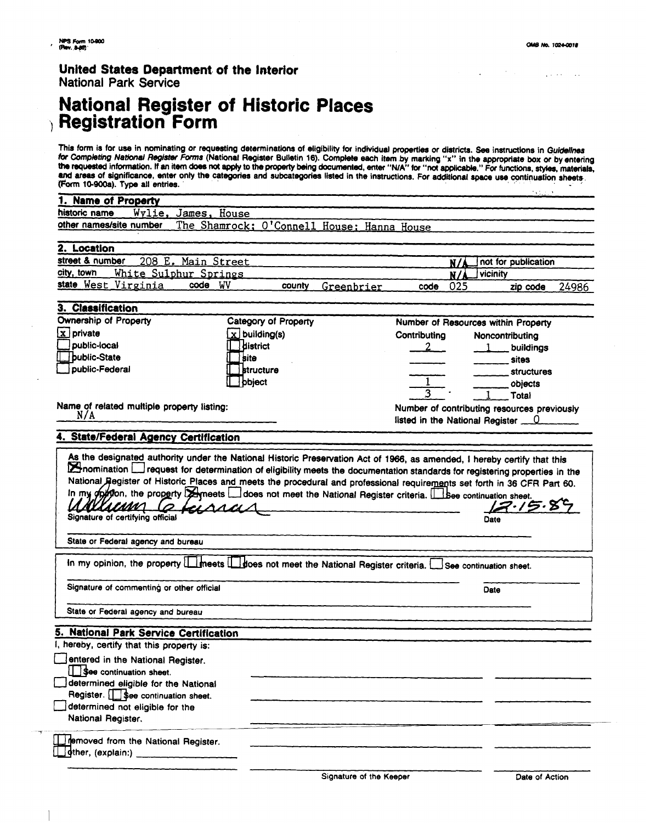$\mathbf{r}$ 

 $\lambda$ 

ووارد المعاونين

### **United States Department. of the Interior National Park Service**

# **National Register of Historic Registration Form**

This form is for use in nominating or requesting determinations of eligibility for individual properties or districts. See instructions in Guidelines or Completing National Register Forms (National Register Bulletin 16). Complete each item by marking "x" in the appropriate box or by entering<br>he requested information. If an item does not apply to the property being docum and areas of significance, enter only the categories and subcategories listed in the instructions. For additional space use continuation sheets. (Form 10-900a). Type all entries.

| <b>Name of Property</b>                                                                                                                                                |                                            |                      |                         |                                     |     |                                             |       |
|------------------------------------------------------------------------------------------------------------------------------------------------------------------------|--------------------------------------------|----------------------|-------------------------|-------------------------------------|-----|---------------------------------------------|-------|
| historic name<br>Wvlie.                                                                                                                                                | House<br>James,                            |                      |                         |                                     |     |                                             |       |
| other names/site number                                                                                                                                                | The Shamrock; O'Connell House; Hanna House |                      |                         |                                     |     |                                             |       |
| 2. Location                                                                                                                                                            |                                            |                      |                         |                                     |     |                                             |       |
| street & number                                                                                                                                                        | 208 E. Main Street                         |                      |                         |                                     | N/J | not for publication                         |       |
| city, town<br>White Sulphur Springs                                                                                                                                    |                                            |                      |                         | vicinity<br>N/A                     |     |                                             |       |
| state West Virginia                                                                                                                                                    | code WV                                    | county               | Greenbrier              | code                                | 025 | zip code                                    | 24986 |
| 3. Classification                                                                                                                                                      |                                            |                      |                         |                                     |     |                                             |       |
| Ownership of Property                                                                                                                                                  |                                            | Category of Property |                         | Number of Resources within Property |     |                                             |       |
| $\boxed{\mathbf{x}}$ private                                                                                                                                           | $x$ building(s)                            |                      |                         | Contributing<br>Noncontributing     |     |                                             |       |
| public-local                                                                                                                                                           | district                                   |                      |                         |                                     |     | buildings                                   |       |
| <b>Joublic-State</b>                                                                                                                                                   | l site                                     |                      |                         |                                     |     | <b>sites</b>                                |       |
| public-Federal                                                                                                                                                         | <b>structure</b>                           |                      |                         |                                     |     | <b>structures</b>                           |       |
|                                                                                                                                                                        | ] bbject                                   |                      |                         |                                     |     | objects                                     |       |
|                                                                                                                                                                        |                                            |                      |                         |                                     |     | Total                                       |       |
| Name of related multiple property listing:                                                                                                                             |                                            |                      |                         |                                     |     |                                             |       |
| N/A                                                                                                                                                                    |                                            |                      |                         |                                     |     | Number of contributing resources previously |       |
|                                                                                                                                                                        |                                            |                      |                         |                                     |     | listed in the National Register $\qquad 0$  |       |
| 4. State/Federal Agency Certification                                                                                                                                  |                                            |                      |                         |                                     |     |                                             |       |
| In my objection, the property <b>Exercise Leapen and the Section Providence</b> Providence Criteria. Lesse continuation sheet.<br><u>AKULIMM</u><br>/ア・/ラ・8<br>GLAACI. |                                            |                      |                         |                                     |     |                                             |       |
| Signature of certifying official                                                                                                                                       |                                            |                      |                         |                                     |     | Date                                        |       |
| State or Federal agency and bureau                                                                                                                                     |                                            |                      |                         |                                     |     |                                             |       |
| In my opinion, the property   meets   does not meet the National Register criteria. See continuation sheet.                                                            |                                            |                      |                         |                                     |     |                                             |       |
| Signature of commenting or other official                                                                                                                              |                                            |                      |                         |                                     |     | Date                                        |       |
| State or Federal agency and bureau                                                                                                                                     |                                            |                      |                         |                                     |     |                                             |       |
| 5. National Park Service Certification                                                                                                                                 |                                            |                      |                         |                                     |     |                                             |       |
| hereby, certify that this property is:                                                                                                                                 |                                            |                      |                         |                                     |     |                                             |       |
| entered in the National Register.                                                                                                                                      |                                            |                      |                         |                                     |     |                                             |       |
| See continuation sheet.                                                                                                                                                |                                            |                      |                         |                                     |     |                                             |       |
| determined eligible for the National                                                                                                                                   |                                            |                      |                         |                                     |     |                                             |       |
| Register. <b>15ee</b> continuation sheet.                                                                                                                              |                                            |                      |                         |                                     |     |                                             |       |
| determined not eligible for the                                                                                                                                        |                                            |                      |                         |                                     |     |                                             |       |
| National Register.                                                                                                                                                     |                                            |                      |                         |                                     |     |                                             |       |
| removed from the National Register.                                                                                                                                    |                                            |                      |                         |                                     |     |                                             |       |
|                                                                                                                                                                        |                                            |                      |                         |                                     |     |                                             |       |
|                                                                                                                                                                        |                                            |                      | Signature of the Keeper |                                     |     | Date of Action                              |       |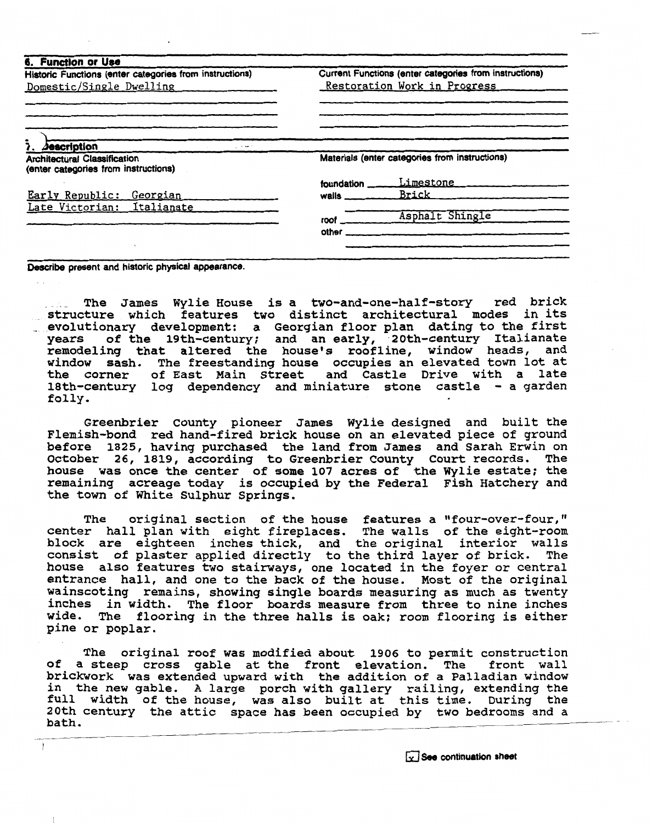| Historic Functions (enter categories from instructions)                     | Current Functions (enter categories from instructions)<br>Restoration Work in Progress |                                                |  |
|-----------------------------------------------------------------------------|----------------------------------------------------------------------------------------|------------------------------------------------|--|
| Domestic/Single Dwelling                                                    |                                                                                        |                                                |  |
|                                                                             |                                                                                        |                                                |  |
| $Jesc$ ription<br>- - -                                                     |                                                                                        |                                                |  |
| <b>Architectural Classification</b><br>(enter categories from instructions) |                                                                                        | Materials (enter categories from instructions) |  |
|                                                                             | foundation.                                                                            | Limestone                                      |  |
| Early Republic:<br>Georgian                                                 | walls ___                                                                              | Brick                                          |  |
| Late Victorian: Italianate                                                  |                                                                                        |                                                |  |
|                                                                             | roof.                                                                                  | Asphalt Shingle                                |  |
|                                                                             |                                                                                        |                                                |  |

**Describe present and historic physical appearance.** 

 $\overline{\phantom{a}}$ 

 $\rightarrow$ 

**The James Wylie House is a two-and-one-half-story red brick structure which features two distinct architectural modes in its** . **evolutionary development: a ~eorgian floor plan dating to the first years of the 19th-century; and an early, 20th-century Italianate remodeling that altered the house's roofline, window heads, and window sash. The freestanding house occupies an elevated town lot at the corner of East Main Street and Castle Drive with a late 18th-century log dependency and miniature stone castle** - **a garden folly.** 

**Greenbrier County pioneer James Wylie designed and built the Flemish-bond red hand-fired brick house on an elevated piece of ground before 1825, having purchased the land from James and Sarah Erwin on October 26, 1819, according to Greenbrier County Court records. The**  house was once the center of some 107 acres of the Wylie estate; the **remaining acreage today is occupied by the Federal Fish Hatchery and the town of White Sulphur Springs.** 

**The original section of the house features a !'four-over-four," center hall plan with eight fireplaces. The walls of the eight-room block are eighteen inches thick, and the original interior walls consist of plaster applied directly to the third layer of brick. The house also features two stairways, one located in the foyer or central entrance hall, and one to the back of the house. Most of the original wainscoting remains, showing single boards measuring as much as twenty inches in width. The floor boards measure from three to nine inches wide. The flooring in the three halls is oak; room flooring is either pine or poplar.** 

**The original roof was modified about 1906 to permit construction of a steep cross gable at the front elevation. The front wall**  brickwork was extended upward with the addition of a Palladian window **in the new gable. A large porch with gallery railing, extending the**  full width of the house, was also built at this time. During the **2011 Width of the house, was also built at this time. During the local of the set of the space has been occupied by two bedrooms and a**  $\overline{\phantom{a}}$ bath.

[3 **See continuation sheet**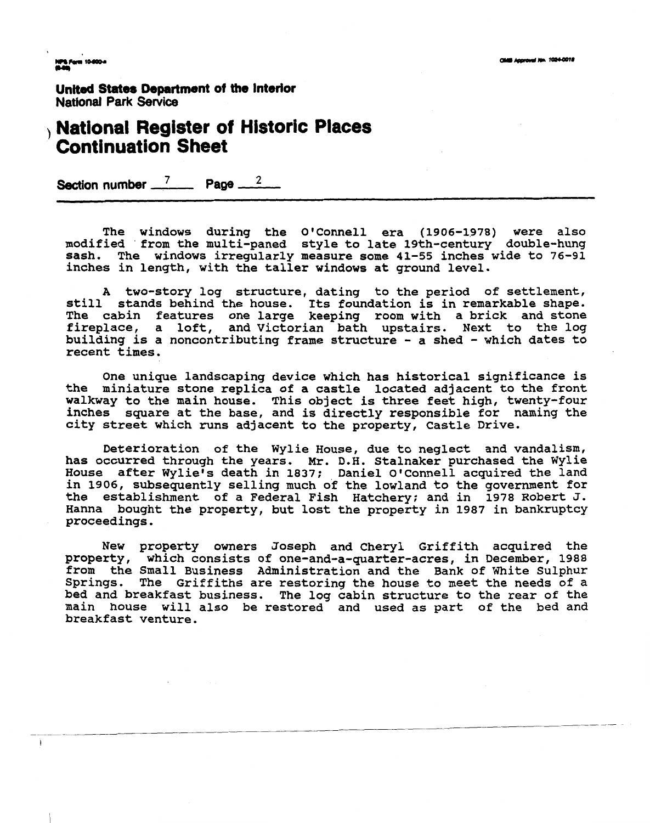**NPS Form 10-800-4**<br>Multipl

 $\lambda$ 

**United States Department of tho Interior National Park Service** 

## **National Register of Historic Places Continuation Sheet**

**Section number 7 Page <sup>2</sup>**

**The windows during the O'Connell era (1906-1978) were also modified 'from the multi-paned style to late 19th-century double-hung sash, The windows irregularly measure some 41-55 inches wide to 76-91 inches in length, with the taller windows at ground level.** 

**A two-story log structure, dating to the period of settlement, still stands behind the house. Its foundation is in remarkable shape. The cabin features one large keeping room with a brick and stone fireplace, a loft, and Victorian bath upstairs. Next to the log building is a noncontributing frame structure** - **a shed** - **which dates to recent times.** 

**One unique landscaping device which has historical significance is the miniature stone replica of a castle located adjacent to the front walkway to the main house, This object is three feet high, twenty-four inches square at the base, and is directly responsible for naming the city street which runs adjacent to the property, Castle Drive.** 

**Deterioration of the Wylie House, due to neglect and vandalism, has occurred through the years. Mr. D.H. Stalnaker purchased the Wylie**  House after Wylie's death in 1837; Daniel O'Connell acquired the land **in 1906, subsequently selling much of the lowland to the government for the establishment of a Federal Fish Hatchery; and in 1978 Robert J. Hanna bought the property, but lost the property in 1987 in bankruptcy proceedings.** 

New property owners Joseph and Cheryl Griffith acquired the **property, which consists of one-and-a-quarter-acres, in December, 1988**  from the Small Business Administration and the Bank of White Sulphur **Springs. The Griffiths are restoring the house to meet the needs of a bed and breakfast business. The log cabin structure to the rear of the main house will also be restored and used as part of the bed and breakfast venture.**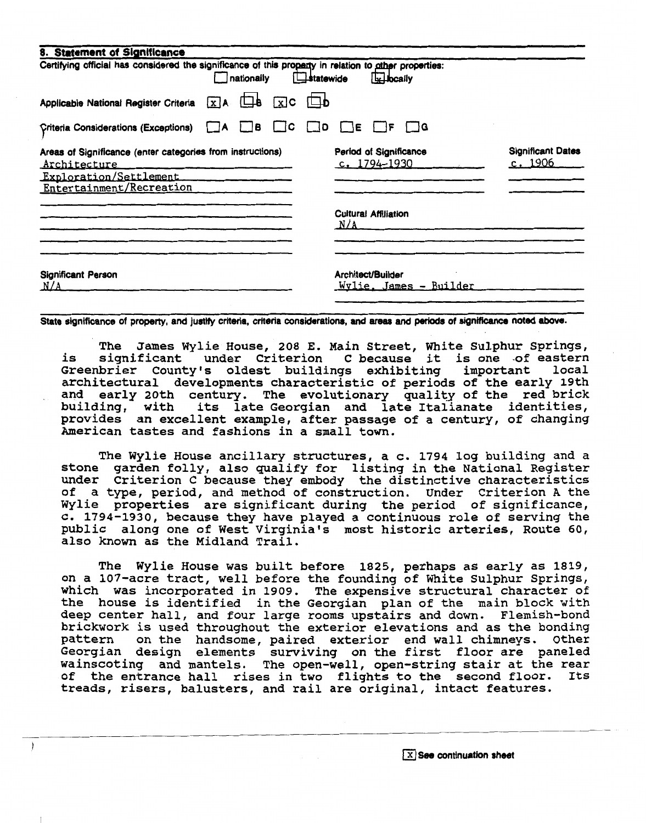| 8. Statement of Significance                                                                                                     |                                                       |                                    |
|----------------------------------------------------------------------------------------------------------------------------------|-------------------------------------------------------|------------------------------------|
| Certifying official has considered the significance of this property in relation to other properties:<br>nationally              | statewide<br>Elbcally                                 |                                    |
| $X$ A $\Box$ <b>b</b> $X$ <b>C</b> $\Box$ <b>b</b><br>Applicable National Register Criteria                                      |                                                       |                                    |
| Criteria Considerations (Exceptions)<br><u>I IA</u>                                                                              | $\Box$ B $\Box$ C $\Box$ D $\Box$ E $\Box$ F $\Box$ G |                                    |
| Areas of Significance (enter categories from instructions)<br>Architecture<br>Exploration/Settlement<br>Entertainment/Recreation | Period of Significance<br>c. 1794-1930                | <b>Significant Dates</b><br>c.1906 |
|                                                                                                                                  | <b>Cultural Affiliation</b><br>N/A                    |                                    |
| <b>Significant Person</b><br>N/A                                                                                                 | Architect/Builder<br>Wylie. James - Builder           |                                    |

State significance of property, and justify criteria, criteria considerations, and areas and periods of significance noted above.

The James Wylie House, 208 E. Main Street, White Sulphur springs, is significant under Criterion C because it is one of eastern Greenbrier County's oldest buildings exhibiting important local architectural developments characteristic of periods of the early 19th and early 20th century. The evolutionary quality of the red brick building, with its late Georgian and late Italianate identities, provides an excellent example, after passage of a century, of changing American tastes and fashions in a small town.

The Wylie House ancillary structures, a c. 1794 log building and a stone garden folly, also qualify for listing in the National Register under Criterion C because they embody the distinctive characteristics of a type, period, and method of construction. Under criterion A the Wylie properties are significant during the period of significance, C. 1794-1930, because they have played a continuous role of serving the public along one of West Virginia's most historic arteries, Route 60, also known as the Midland Trail.

The Wylie House was built before 1825, perhaps as early as 1819, on a 107-acre tract, well before the founding of White Sulphur Springs, which was incorporated in 1909. The expensive structural character of the house is identified in the Georgian plan of the main block with deep center hall, and four large rooms upstairs and down. Flemish-bond brickwork is used throughout the exterior elevations and as the bonding pattern on the handsome, paired exterior end wall chimneys. Other Georgian design elements surviving on the first floor are paneled wainscoting and mantels. The open-well, open-string stair at the rear of the entrance hall rises in two flights to the second floor. Its treads, risers, balusters, and rail are original, intact features.

 $\lambda$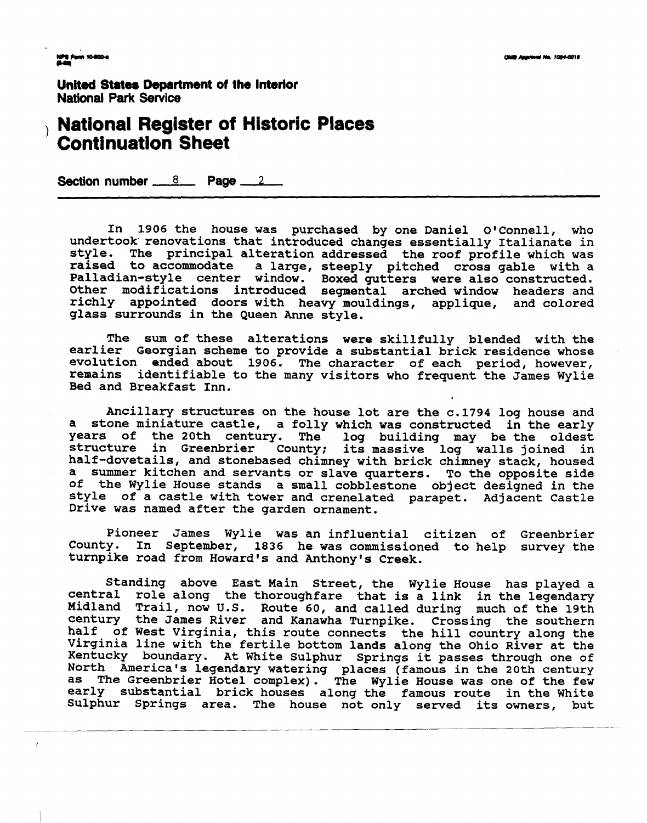**United States Department of the Interior National Park Sewice** 

# **Rational Register of Historic Places**<br> **Continuation Sheet**<br>
Section number <u>8</u> **Page 2**

**In 1906 the house was purchased by one Daniel OIConnell, who undertook' renovations that introduced changes essentially Italianate in style. The principal alteration addressed the roof profile which was**  a large, steeply pitched cross gable with a **Palladian-style center window. Boxed gutters were also constructed. Other modifications introduced segmental arched window headers and richly appointed doors with heavy mouldings, applique, and colored glass surrounds in the Queen Anne style.** 

**The sum of these alterations were skillfully blended with the earlier Georgian scheme to provide a substantial brick residence whose evolution ended about 1906. The character of each period, however, remains identifiable to the many visitors who frequent the James Wylie Bed and Breakfast Inn.** 

**Ancillary structures on the house lot are the c.1794 log house and a stone miniature castle, a folly which was constructed in the early years of the 20th century. The log building may be the oldest structure in Greenbrier County; its massive log walls joined in half-dovetails, and stonebased chimney with brick chimney stack, housed a summer kitchen and servants or slave quarters. To the opposite side of the Wylie House stands a small cobblestone object designed in the style of a castle with tower and crenelated parapet. Adjacent Castle Drive was named after the garden ornament.** 

**Pioneer James Wylie was an influential citizen of Greenbrier**  In September, 1836 he was commissioned to help survey the **turnpike road from Howard's and Anthony's Creek.** 

Standing above East Main Street, the Wylie House has played a **central role along the thoroughfare that is a link in the legendary Midland Trail, now U.S. Route 60, and called during much of the 19th century the James River and Kanawha Turnpike. Crossing the southern half of West Virginia, this route connects the hill country along the Virginia line with the fertile bottom lands along the Ohio River at the Kentucky boundary. At White Sulphur Springs it passes through one of North America's legendary watering places (famous in the 20th century as The Greenbrier Hotel complex). The Wylie House was one of the few early substantial brick houses along the famous route in the White Sulphur Springs area. The house not only served its owners, but**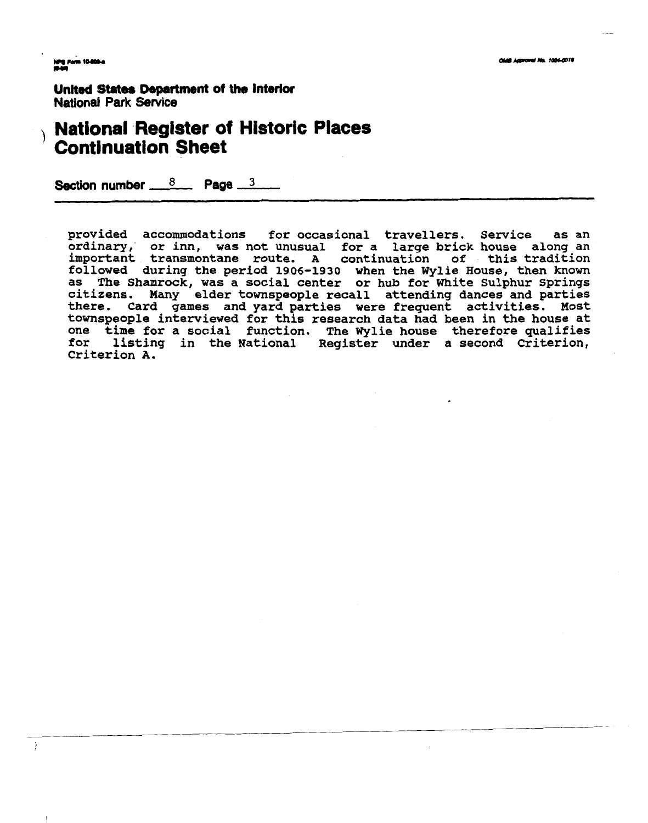$\rightarrow$ 

**United States Department of the Interior National Park Service** 

# **National Register of Historic Places Continuation Sheet**

Section number  $\frac{8}{2}$  Page 3

**provided accommodations for occasional travellers. service as an ordinary. or inn, was not unusual for a large brick house along an important transmontane route. A continuation of this tradition followed during the period 1906-1930 when the Wylie House, then known as The Shamrock, was a social center or hub for White Sulphur springs citizens. Many elder townspeople recall attending dances and parties there. Card games and yard parties were frequent activities. Most townspeople interviewed for this research data had been in the house at one time for a social function. The Wylie house therefore qualifies for listing in the National Register under a second criterion, Criterion A.**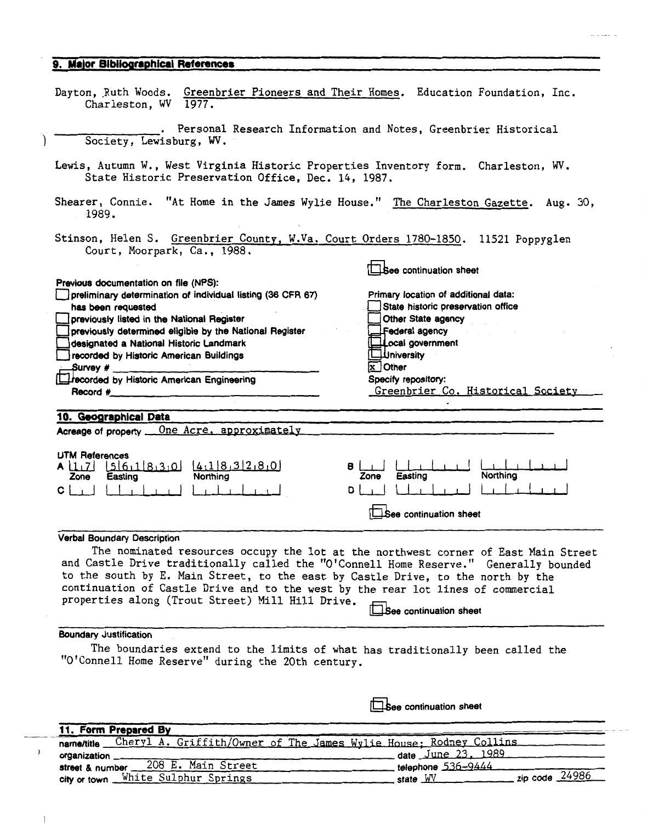## **9. Major Bibliographical References**

| Dayton, Ruth Woods. Greenbrier Pioneers and Their Homes. Education Foundation, Inc.<br>Charleston, WV 1977.                                                                                                                                                                                                                                                                                             |                                                                                                                                                                                                                                       |
|---------------------------------------------------------------------------------------------------------------------------------------------------------------------------------------------------------------------------------------------------------------------------------------------------------------------------------------------------------------------------------------------------------|---------------------------------------------------------------------------------------------------------------------------------------------------------------------------------------------------------------------------------------|
| Society, Lewisburg, WV.                                                                                                                                                                                                                                                                                                                                                                                 | Personal Research Information and Notes, Greenbrier Historical                                                                                                                                                                        |
| Lewis, Autumn W., West Virginia Historic Properties Inventory form. Charleston, WV.<br>State Historic Preservation Office, Dec. 14, 1987.                                                                                                                                                                                                                                                               |                                                                                                                                                                                                                                       |
| Shearer, Connie. "At Home in the James Wylie House." The Charleston Gazette. Aug. 30,<br>1989.                                                                                                                                                                                                                                                                                                          |                                                                                                                                                                                                                                       |
| Stinson, Helen S. Greenbrier County, W.Va. Court Orders 1780-1850. 11521 Poppyglen<br>Court, Moorpark, Ca., 1988.                                                                                                                                                                                                                                                                                       |                                                                                                                                                                                                                                       |
|                                                                                                                                                                                                                                                                                                                                                                                                         | See continuation sheet                                                                                                                                                                                                                |
| Previous documentation on file (NPS):<br>preliminary determination of individual listing (36 CFR 67)<br>has been requested<br>previously listed in the National Register<br>previously determined eligible by the National Register<br>designated a National Historic Landmark<br>recorded by Historic American Buildings<br>decorded by Historic American Engineering<br>Record #                      | Primary location of additional data:<br>State historic preservation office<br>Other State agency<br>Federal agency<br>Lecal government<br><b>∐University</b><br>$X$ Other<br>Specify repository:<br>Greenbrier Co. Historical Society |
| 10. Geographical Data                                                                                                                                                                                                                                                                                                                                                                                   |                                                                                                                                                                                                                                       |
| One Acre, approximately<br>Acreage of property __                                                                                                                                                                                                                                                                                                                                                       |                                                                                                                                                                                                                                       |
|                                                                                                                                                                                                                                                                                                                                                                                                         |                                                                                                                                                                                                                                       |
| <b>UTM References</b><br>A [17] [5] 6,1 8,3,0 [4,1 8,3 2,8,0]<br>в<br>Northing<br>Zone<br>Easting<br>$C \perp_{\perp}$<br>D                                                                                                                                                                                                                                                                             | <b>Northing</b><br>Easting<br>Zone                                                                                                                                                                                                    |
|                                                                                                                                                                                                                                                                                                                                                                                                         |                                                                                                                                                                                                                                       |
|                                                                                                                                                                                                                                                                                                                                                                                                         | See continuation sheet                                                                                                                                                                                                                |
| Verbal Boundary Description                                                                                                                                                                                                                                                                                                                                                                             |                                                                                                                                                                                                                                       |
| The nominated resources occupy the lot at the northwest corner of East Main Street<br>and Castle Drive traditionally called the "O'Connell Home Reserve." Generally bounded<br>to the south by E. Main Street, to the east by Castle Drive, to the north by the<br>continuation of Castle Drive and to the west by the rear lot lines of commercial<br>properties along (Trout Street) Mill Hill Drive. | See continuation sheet                                                                                                                                                                                                                |
| <b>Boundary Justification</b>                                                                                                                                                                                                                                                                                                                                                                           |                                                                                                                                                                                                                                       |
| The boundaries extend to the limits of what has traditionally been called the<br>"O'Connell Home Reserve" during the 20th century.                                                                                                                                                                                                                                                                      |                                                                                                                                                                                                                                       |
|                                                                                                                                                                                                                                                                                                                                                                                                         | See continuation sheet                                                                                                                                                                                                                |
|                                                                                                                                                                                                                                                                                                                                                                                                         |                                                                                                                                                                                                                                       |
|                                                                                                                                                                                                                                                                                                                                                                                                         |                                                                                                                                                                                                                                       |
| 11. Form Prepared By<br>Cheryl A. Griffith/Owner of The James Wylie House: Rodney Collins<br>name/title                                                                                                                                                                                                                                                                                                 |                                                                                                                                                                                                                                       |

|                                       | name/title __Cheryl_A,Griffith/Owner_of_The_James_Wylie_House;_Kodney_Collins_ |
|---------------------------------------|--------------------------------------------------------------------------------|
| organization __                       | date June 23, 1989                                                             |
| street & number 208 E. Main Street    |                                                                                |
| city or town __White_Sulphur_Springs_ | zip code 24986<br>state WV                                                     |
|                                       |                                                                                |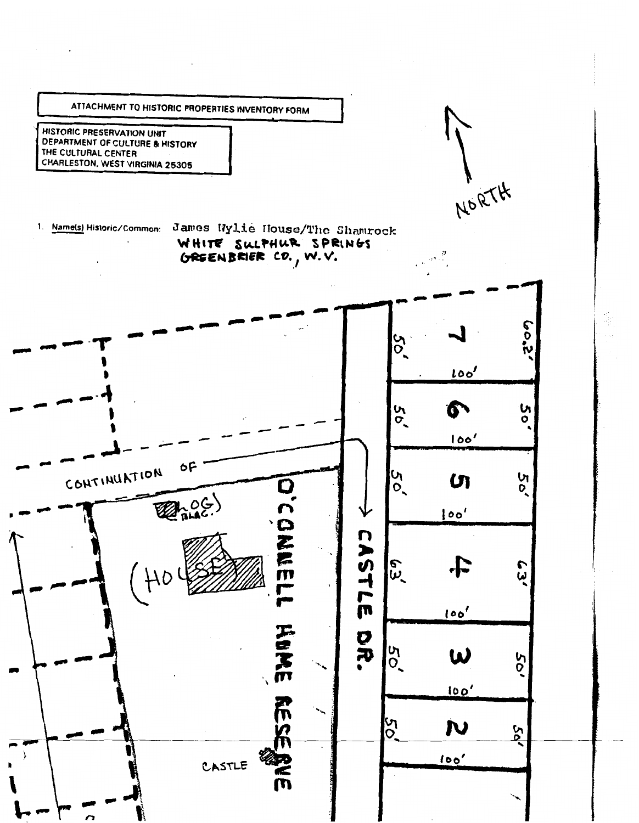